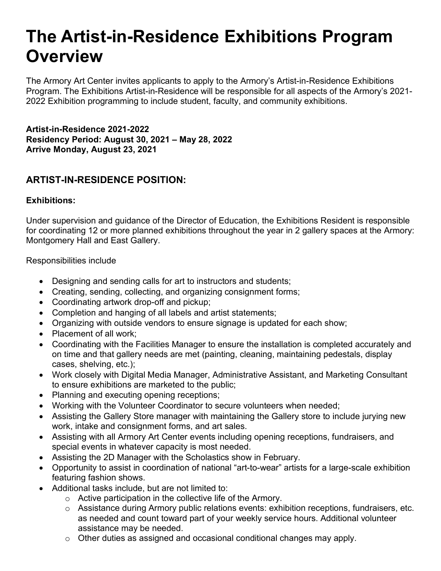# **The Artist-in-Residence Exhibitions Program Overview**

The Armory Art Center invites applicants to apply to the Armory's Artist-in-Residence Exhibitions Program. The Exhibitions Artist-in-Residence will be responsible for all aspects of the Armory's 2021- 2022 Exhibition programming to include student, faculty, and community exhibitions.

**Artist-in-Residence 2021-2022 Residency Period: August 30, 2021 – May 28, 2022 Arrive Monday, August 23, 2021**

## **ARTIST-IN-RESIDENCE POSITION:**

#### **Exhibitions:**

Under supervision and guidance of the Director of Education, the Exhibitions Resident is responsible for coordinating 12 or more planned exhibitions throughout the year in 2 gallery spaces at the Armory: Montgomery Hall and East Gallery.

Responsibilities include

- Designing and sending calls for art to instructors and students;
- Creating, sending, collecting, and organizing consignment forms;
- Coordinating artwork drop-off and pickup;
- Completion and hanging of all labels and artist statements;
- Organizing with outside vendors to ensure signage is updated for each show;
- Placement of all work;
- Coordinating with the Facilities Manager to ensure the installation is completed accurately and on time and that gallery needs are met (painting, cleaning, maintaining pedestals, display cases, shelving, etc.);
- Work closely with Digital Media Manager, Administrative Assistant, and Marketing Consultant to ensure exhibitions are marketed to the public;
- Planning and executing opening receptions;
- Working with the Volunteer Coordinator to secure volunteers when needed;
- Assisting the Gallery Store manager with maintaining the Gallery store to include jurying new work, intake and consignment forms, and art sales.
- Assisting with all Armory Art Center events including opening receptions, fundraisers, and special events in whatever capacity is most needed.
- Assisting the 2D Manager with the Scholastics show in February.
- Opportunity to assist in coordination of national "art-to-wear" artists for a large-scale exhibition featuring fashion shows.
- Additional tasks include, but are not limited to:
	- o Active participation in the collective life of the Armory.
	- o Assistance during Armory public relations events: exhibition receptions, fundraisers, etc. as needed and count toward part of your weekly service hours. Additional volunteer assistance may be needed.
	- $\circ$  Other duties as assigned and occasional conditional changes may apply.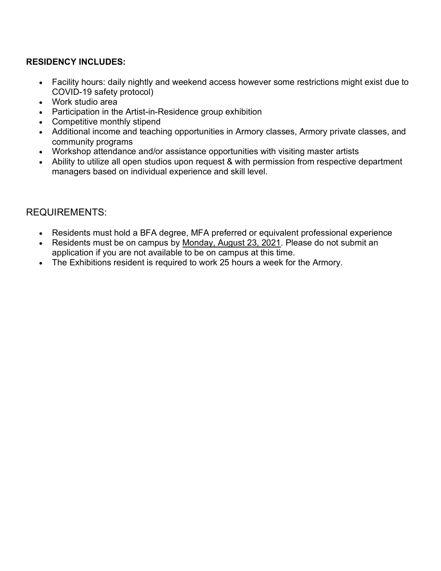#### **RESIDENCY INCLUDES:**

- Facility hours: daily nightly and weekend access however some restrictions might exist due to COVID-19 safety protocol)
- Work studio area
- Participation in the Artist-in-Residence group exhibition
- Competitive monthly stipend
- Additional income and teaching opportunities in Armory classes, Armory private classes, and community programs
- Workshop attendance and/or assistance opportunities with visiting master artists
- Ability to utilize all open studios upon request & with permission from respective department managers based on individual experience and skill level.

### REQUIREMENTS:

- Residents must hold a BFA degree, MFA preferred or equivalent professional experience
- Residents must be on campus by Monday, August 23, 2021. Please do not submit an application if you are not available to be on campus at this time.
- The Exhibitions resident is required to work 25 hours a week for the Armory.